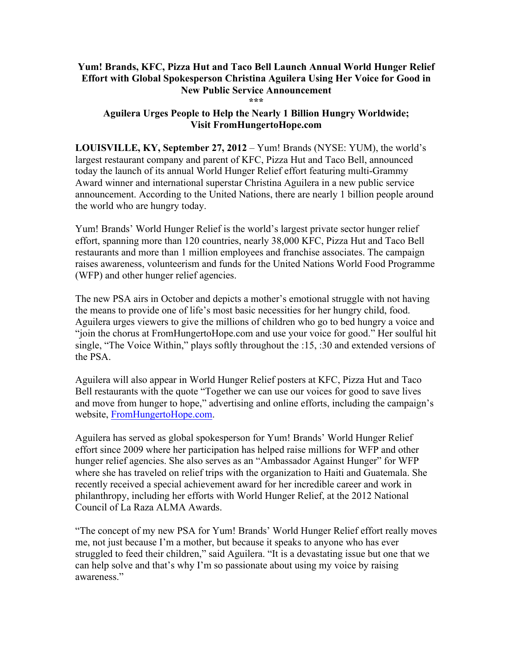## **Yum! Brands, KFC, Pizza Hut and Taco Bell Launch Annual World Hunger Relief Effort with Global Spokesperson Christina Aguilera Using Her Voice for Good in New Public Service Announcement \*\*\***

## **Aguilera Urges People to Help the Nearly 1 Billion Hungry Worldwide; Visit FromHungertoHope.com**

**LOUISVILLE, KY, September 27, 2012** – Yum! Brands (NYSE: YUM), the world's largest restaurant company and parent of KFC, Pizza Hut and Taco Bell, announced today the launch of its annual World Hunger Relief effort featuring multi-Grammy Award winner and international superstar Christina Aguilera in a new public service announcement. According to the United Nations, there are nearly 1 billion people around the world who are hungry today.

Yum! Brands' World Hunger Relief is the world's largest private sector hunger relief effort, spanning more than 120 countries, nearly 38,000 KFC, Pizza Hut and Taco Bell restaurants and more than 1 million employees and franchise associates. The campaign raises awareness, volunteerism and funds for the United Nations World Food Programme (WFP) and other hunger relief agencies.

The new PSA airs in October and depicts a mother's emotional struggle with not having the means to provide one of life's most basic necessities for her hungry child, food. Aguilera urges viewers to give the millions of children who go to bed hungry a voice and "join the chorus at FromHungertoHope.com and use your voice for good." Her soulful hit single, "The Voice Within," plays softly throughout the :15, :30 and extended versions of the PSA.

Aguilera will also appear in World Hunger Relief posters at KFC, Pizza Hut and Taco Bell restaurants with the quote "Together we can use our voices for good to save lives and move from hunger to hope," advertising and online efforts, including the campaign's website, FromHungertoHope.com.

Aguilera has served as global spokesperson for Yum! Brands' World Hunger Relief effort since 2009 where her participation has helped raise millions for WFP and other hunger relief agencies. She also serves as an "Ambassador Against Hunger" for WFP where she has traveled on relief trips with the organization to Haiti and Guatemala. She recently received a special achievement award for her incredible career and work in philanthropy, including her efforts with World Hunger Relief, at the 2012 National Council of La Raza ALMA Awards.

"The concept of my new PSA for Yum! Brands' World Hunger Relief effort really moves me, not just because I'm a mother, but because it speaks to anyone who has ever struggled to feed their children," said Aguilera. "It is a devastating issue but one that we can help solve and that's why I'm so passionate about using my voice by raising awareness."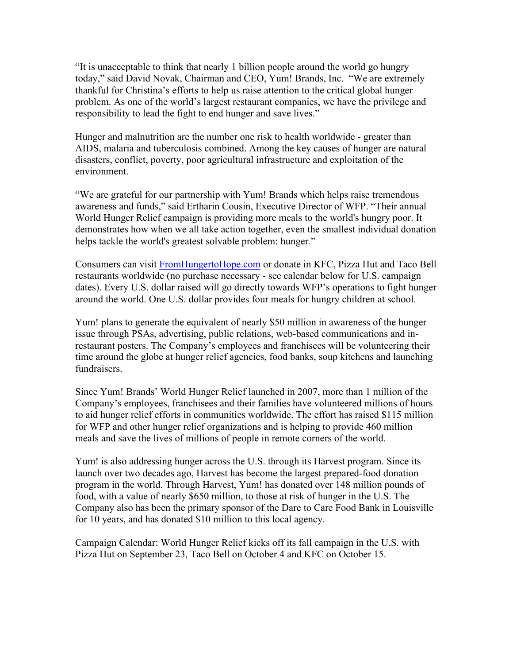"It is unacceptable to think that nearly 1 billion people around the world go hungry today," said David Novak, Chairman and CEO, Yum! Brands, Inc. "We are extremely thankful for Christina's efforts to help us raise attention to the critical global hunger problem. As one of the world's largest restaurant companies, we have the privilege and responsibility to lead the fight to end hunger and save lives."

Hunger and malnutrition are the number one risk to health worldwide - greater than AIDS, malaria and tuberculosis combined. Among the key causes of hunger are natural disasters, conflict, poverty, poor agricultural infrastructure and exploitation of the environment.

"We are grateful for our partnership with Yum! Brands which helps raise tremendous awareness and funds," said Ertharin Cousin, Executive Director of WFP. "Their annual World Hunger Relief campaign is providing more meals to the world's hungry poor. It demonstrates how when we all take action together, even the smallest individual donation helps tackle the world's greatest solvable problem: hunger."

Consumers can visit FromHungertoHope.com or donate in KFC, Pizza Hut and Taco Bell restaurants worldwide (no purchase necessary - see calendar below for U.S. campaign dates). Every U.S. dollar raised will go directly towards WFP's operations to fight hunger around the world. One U.S. dollar provides four meals for hungry children at school.

Yum! plans to generate the equivalent of nearly \$50 million in awareness of the hunger issue through PSAs, advertising, public relations, web-based communications and inrestaurant posters. The Company's employees and franchisees will be volunteering their time around the globe at hunger relief agencies, food banks, soup kitchens and launching fundraisers.

Since Yum! Brands' World Hunger Relief launched in 2007, more than 1 million of the Company's employees, franchisees and their families have volunteered millions of hours to aid hunger relief efforts in communities worldwide. The effort has raised \$115 million for WFP and other hunger relief organizations and is helping to provide 460 million meals and save the lives of millions of people in remote corners of the world.

Yum! is also addressing hunger across the U.S. through its Harvest program. Since its launch over two decades ago, Harvest has become the largest prepared-food donation program in the world. Through Harvest, Yum! has donated over 148 million pounds of food, with a value of nearly \$650 million, to those at risk of hunger in the U.S. The Company also has been the primary sponsor of the Dare to Care Food Bank in Louisville for 10 years, and has donated \$10 million to this local agency.

Campaign Calendar: World Hunger Relief kicks off its fall campaign in the U.S. with Pizza Hut on September 23, Taco Bell on October 4 and KFC on October 15.